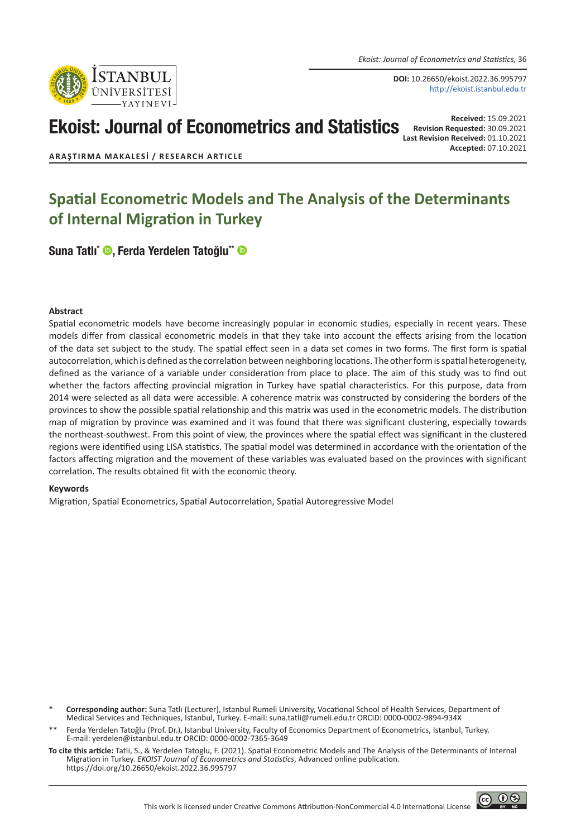*Ekoist: Journal of Econometrics and Statistics,* 36

**DOI:** 10.26650/ekoist.2022.36.995797 http://ekoist.istanbul.edu.tr

# Ekoist: Journal of Econometrics and Statistics

**Received:** 15.09.2021 **Revision Requested:** 30.09.2021 **Last Revision Received:** 01.10.2021 **Accepted:** 07.10.2021

**ARAŞTIRMA MAKALESI / RESEARCH ARTICLE**

# **Spatial Econometric Models and The Analysis of the Determinants of Internal Migration in Turkey**

[Suna Tatlı\\*](https://orcid.org/0000-0002-9894-934X) (, [Ferda Yerdelen Tatoğlu\\*\\*](https://orcid.org/0000-0002-7365-3649) (

#### **Abstract**

Spatial econometric models have become increasingly popular in economic studies, especially in recent years. These models differ from classical econometric models in that they take into account the effects arising from the location of the data set subject to the study. The spatial effect seen in a data set comes in two forms. The first form is spatial autocorrelation, which is defined as the correlation between neighboring locations. The other form is spatial heterogeneity, defined as the variance of a variable under consideration from place to place. The aim of this study was to find out whether the factors affecting provincial migration in Turkey have spatial characteristics. For this purpose, data from 2014 were selected as all data were accessible. A coherence matrix was constructed by considering the borders of the provinces to show the possible spatial relationship and this matrix was used in the econometric models. The distribution map of migration by province was examined and it was found that there was significant clustering, especially towards the northeast-southwest. From this point of view, the provinces where the spatial effect was significant in the clustered regions were identified using LISA statistics. The spatial model was determined in accordance with the orientation of the factors affecting migration and the movement of these variables was evaluated based on the provinces with significant correlation. The results obtained fit with the economic theory.

#### **Keywords**

Migration, Spatial Econometrics, Spatial Autocorrelation, Spatial Autoregressive Model

- \* **Corresponding author:** Suna Tatlı (Lecturer), Istanbul Rumeli University, Vocational School of Health Services, Department of Medical Services and Techniques, Istanbul, Turkey. E-mail: suna.tatli@rumeli.edu.tr ORCID: 0000-0002-9894-934X
- Ferda Yerdelen Tatoğlu (Prof. Dr.), Istanbul University, Faculty of Economics Department of Econometrics, Istanbul, Turkey. E-mail: yerdelen@istanbul.edu.tr ORCID: 0000-0002-7365-3649
- **To cite this article:** Tatli, S., & Yerdelen Tatoglu, F. (2021). Spatial Econometric Models and The Analysis of the Determinants of Internal Migration in Turkey. *EKOIST Journal of Econometrics and Statistics*, Advanced online publication. https://doi.org/10.26650/ekoist.2022.36.995797



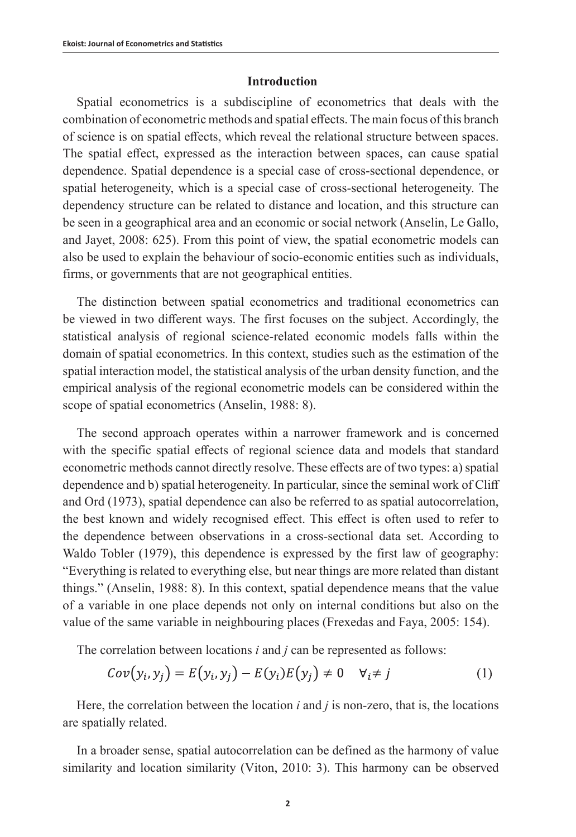### **Introduction**

Spatial econometrics is a subdiscipline of econometrics that deals with the combination of econometric methods and spatial effects. The main focus of this branch of science is on spatial effects, which reveal the relational structure between spaces. The spatial effect, expressed as the interaction between spaces, can cause spatial dependence. Spatial dependence is a special case of cross-sectional dependence, or spatial heterogeneity, which is a special case of cross-sectional heterogeneity. The dependency structure can be related to distance and location, and this structure can be seen in a geographical area and an economic or social network (Anselin, Le Gallo, and Jayet, 2008: 625). From this point of view, the spatial econometric models can also be used to explain the behaviour of socio-economic entities such as individuals, firms, or governments that are not geographical entities.

The distinction between spatial econometrics and traditional econometrics can be viewed in two different ways. The first focuses on the subject. Accordingly, the statistical analysis of regional science-related economic models falls within the domain of spatial econometrics. In this context, studies such as the estimation of the spatial interaction model, the statistical analysis of the urban density function, and the empirical analysis of the regional econometric models can be considered within the scope of spatial econometrics (Anselin, 1988: 8).

The second approach operates within a narrower framework and is concerned with the specific spatial effects of regional science data and models that standard econometric methods cannot directly resolve. These effects are of two types: a) spatial dependence and b) spatial heterogeneity. In particular, since the seminal work of Cliff and Ord (1973), spatial dependence can also be referred to as spatial autocorrelation, the best known and widely recognised effect. This effect is often used to refer to the dependence between observations in a cross-sectional data set. According to Waldo Tobler (1979), this dependence is expressed by the first law of geography: "Everything is related to everything else, but near things are more related than distant things." (Anselin, 1988: 8). In this context, spatial dependence means that the value of a variable in one place depends not only on internal conditions but also on the value of the same variable in neighbouring places (Frexedas and Faya, 2005: 154).

The correlation between locations *i* and *j* can be represented as follows:

$$
Cov(y_i, y_j) = E(y_i, y_j) - E(y_i)E(y_j) \neq 0 \quad \forall i \neq j
$$
 (1)

Here, the correlation between the location *i* and *j* is non-zero, that is, the locations are spatially related.

In a broader sense, spatial autocorrelation can be defined as the harmony of value similarity and location similarity (Viton, 2010: 3). This harmony can be observed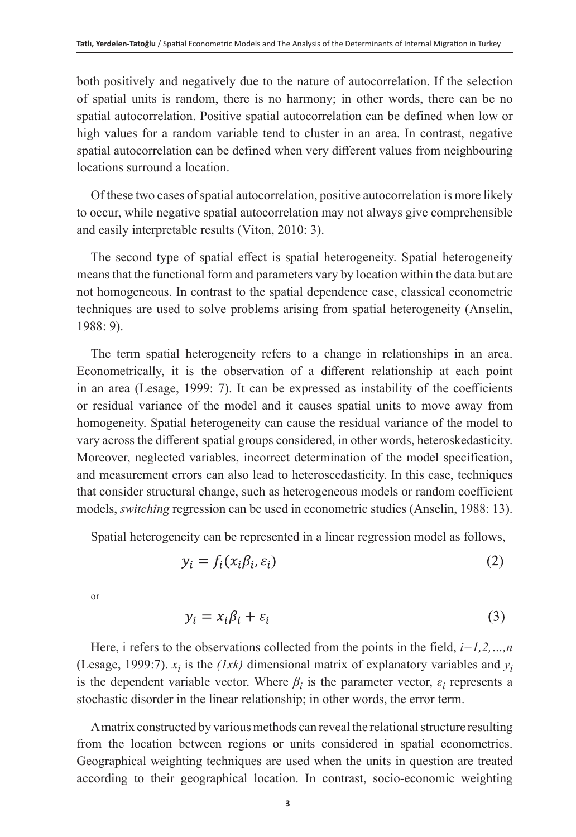both positively and negatively due to the nature of autocorrelation. If the selection of spatial units is random, there is no harmony; in other words, there can be no spatial autocorrelation. Positive spatial autocorrelation can be defined when low or high values for a random variable tend to cluster in an area. In contrast, negative spatial autocorrelation can be defined when very different values from neighbouring locations surround a location.

Of these two cases of spatial autocorrelation, positive autocorrelation is more likely to occur, while negative spatial autocorrelation may not always give comprehensible and easily interpretable results (Viton, 2010: 3).

The second type of spatial effect is spatial heterogeneity. Spatial heterogeneity means that the functional form and parameters vary by location within the data but are not homogeneous. In contrast to the spatial dependence case, classical econometric techniques are used to solve problems arising from spatial heterogeneity (Anselin, 1988: 9).

The term spatial heterogeneity refers to a change in relationships in an area. Econometrically, it is the observation of a different relationship at each point in an area (Lesage, 1999: 7). It can be expressed as instability of the coefficients or residual variance of the model and it causes spatial units to move away from homogeneity. Spatial heterogeneity can cause the residual variance of the model to vary across the different spatial groups considered, in other words, heteroskedasticity. Moreover, neglected variables, incorrect determination of the model specification, and measurement errors can also lead to heteroscedasticity. In this case, techniques that consider structural change, such as heterogeneous models or random coefficient models, *switching* regression can be used in econometric studies (Anselin, 1988: 13).

Spatial heterogeneity can be represented in a linear regression model as follows,

$$
y_i = f_i(x_i \beta_i, \varepsilon_i) \tag{2}
$$

or

$$
y_i = x_i \beta_i + \varepsilon_i \tag{3}
$$

Here, i refers to the observations collected from the points in the field, *i=1,2,…,n* (Lesage, 1999:7).  $x_i$  is the *(1xk)* dimensional matrix of explanatory variables and  $y_i$ is the dependent variable vector. Where  $\beta_i$  is the parameter vector,  $\varepsilon_i$  represents a stochastic disorder in the linear relationship; in other words, the error term.

A matrix constructed by various methods can reveal the relational structure resulting from the location between regions or units considered in spatial econometrics. Geographical weighting techniques are used when the units in question are treated according to their geographical location. In contrast, socio-economic weighting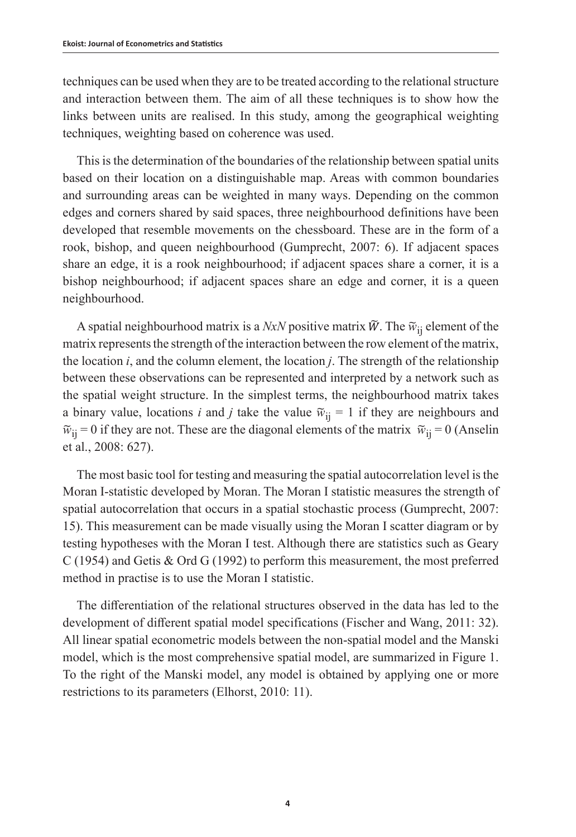techniques can be used when they are to be treated according to the relational structure and interaction between them. The aim of all these techniques is to show how the links between units are realised. In this study, among the geographical weighting techniques, weighting based on coherence was used.

This is the determination of the boundaries of the relationship between spatial units based on their location on a distinguishable map. Areas with common boundaries and surrounding areas can be weighted in many ways. Depending on the common edges and corners shared by said spaces, three neighbourhood definitions have been developed that resemble movements on the chessboard. These are in the form of a rook, bishop, and queen neighbourhood (Gumprecht, 2007: 6). If adjacent spaces share an edge, it is a rook neighbourhood; if adjacent spaces share a corner, it is a bishop neighbourhood; if adjacent spaces share an edge and corner, it is a queen neighbourhood.

A spatial neighbourhood matrix is a *NxN* positive matrix  $\tilde{W}$ . The  $\tilde{w}_{ii}$  element of the matrix represents the strength of the interaction between the row element of the matrix, the location *i*, and the column element, the location *j*. The strength of the relationship between these observations can be represented and interpreted by a network such as the spatial weight structure. In the simplest terms, the neighbourhood matrix takes a binary value, locations *i* and *j* take the value  $\tilde{w}_{ii} = 1$  if they are neighbours and  $\widetilde{w}_{ii} = 0$  if they are not. These are the diagonal elements of the matrix  $\widetilde{w}_{ii} = 0$  (Anselin et al., 2008: 627).

The most basic tool for testing and measuring the spatial autocorrelation level is the Moran I-statistic developed by Moran. The Moran I statistic measures the strength of spatial autocorrelation that occurs in a spatial stochastic process (Gumprecht, 2007: 15). This measurement can be made visually using the Moran I scatter diagram or by testing hypotheses with the Moran I test. Although there are statistics such as Geary C (1954) and Getis & Ord G (1992) to perform this measurement, the most preferred method in practise is to use the Moran I statistic.

The differentiation of the relational structures observed in the data has led to the development of different spatial model specifications (Fischer and Wang, 2011: 32). All linear spatial econometric models between the non-spatial model and the Manski model, which is the most comprehensive spatial model, are summarized in Figure 1. To the right of the Manski model, any model is obtained by applying one or more restrictions to its parameters (Elhorst, 2010: 11).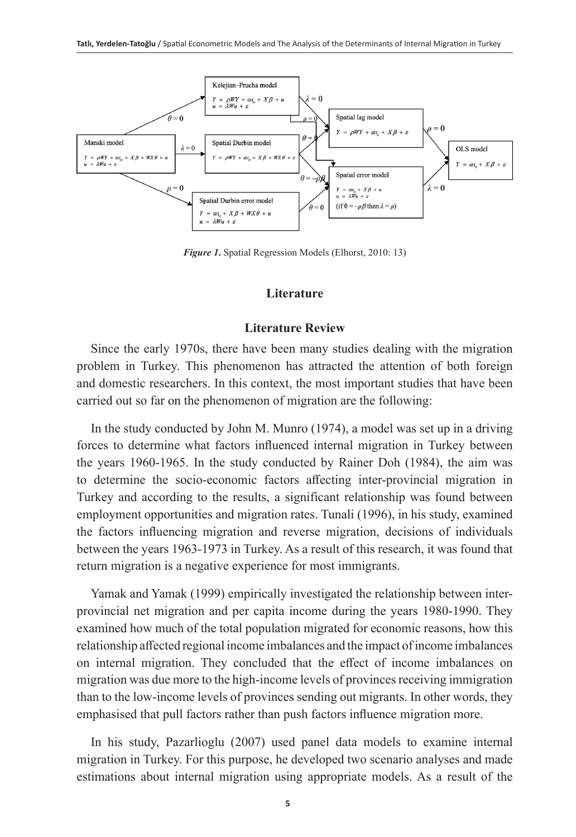

*Figure 1***.** Spatial Regression Models (Elhorst, 2010: 13)

### **Literature**

#### **Literature Review**

Since the early 1970s, there have been many studies dealing with the migration problem in Turkey. This phenomenon has attracted the attention of both foreign and domestic researchers. In this context, the most important studies that have been carried out so far on the phenomenon of migration are the following:

In the study conducted by John M. Munro (1974), a model was set up in a driving forces to determine what factors influenced internal migration in Turkey between the years 1960-1965. In the study conducted by Rainer Doh (1984), the aim was to determine the socio-economic factors affecting inter-provincial migration in Turkey and according to the results, a significant relationship was found between employment opportunities and migration rates. Tunali (1996), in his study, examined the factors influencing migration and reverse migration, decisions of individuals between the years 1963-1973 in Turkey. As a result of this research, it was found that return migration is a negative experience for most immigrants.

Yamak and Yamak (1999) empirically investigated the relationship between interprovincial net migration and per capita income during the years 1980-1990. They examined how much of the total population migrated for economic reasons, how this relationship affected regional income imbalances and the impact of income imbalances on internal migration. They concluded that the effect of income imbalances on migration was due more to the high-income levels of provinces receiving immigration than to the low-income levels of provinces sending out migrants. In other words, they emphasised that pull factors rather than push factors influence migration more.

In his study, Pazarlioglu (2007) used panel data models to examine internal migration in Turkey. For this purpose, he developed two scenario analyses and made estimations about internal migration using appropriate models. As a result of the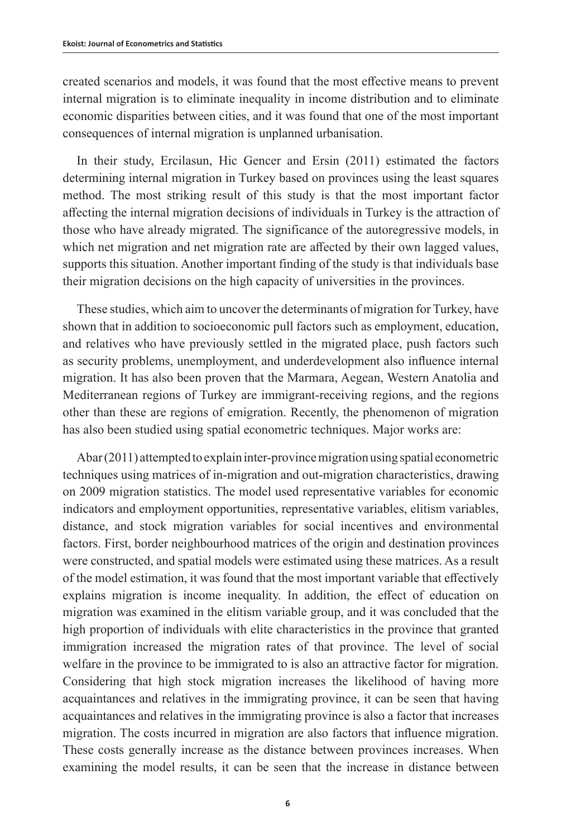created scenarios and models, it was found that the most effective means to prevent internal migration is to eliminate inequality in income distribution and to eliminate economic disparities between cities, and it was found that one of the most important consequences of internal migration is unplanned urbanisation.

In their study, Ercilasun, Hic Gencer and Ersin (2011) estimated the factors determining internal migration in Turkey based on provinces using the least squares method. The most striking result of this study is that the most important factor affecting the internal migration decisions of individuals in Turkey is the attraction of those who have already migrated. The significance of the autoregressive models, in which net migration and net migration rate are affected by their own lagged values, supports this situation. Another important finding of the study is that individuals base their migration decisions on the high capacity of universities in the provinces.

These studies, which aim to uncover the determinants of migration for Turkey, have shown that in addition to socioeconomic pull factors such as employment, education, and relatives who have previously settled in the migrated place, push factors such as security problems, unemployment, and underdevelopment also influence internal migration. It has also been proven that the Marmara, Aegean, Western Anatolia and Mediterranean regions of Turkey are immigrant-receiving regions, and the regions other than these are regions of emigration. Recently, the phenomenon of migration has also been studied using spatial econometric techniques. Major works are:

Abar (2011) attempted to explain inter-province migration using spatial econometric techniques using matrices of in-migration and out-migration characteristics, drawing on 2009 migration statistics. The model used representative variables for economic indicators and employment opportunities, representative variables, elitism variables, distance, and stock migration variables for social incentives and environmental factors. First, border neighbourhood matrices of the origin and destination provinces were constructed, and spatial models were estimated using these matrices. As a result of the model estimation, it was found that the most important variable that effectively explains migration is income inequality. In addition, the effect of education on migration was examined in the elitism variable group, and it was concluded that the high proportion of individuals with elite characteristics in the province that granted immigration increased the migration rates of that province. The level of social welfare in the province to be immigrated to is also an attractive factor for migration. Considering that high stock migration increases the likelihood of having more acquaintances and relatives in the immigrating province, it can be seen that having acquaintances and relatives in the immigrating province is also a factor that increases migration. The costs incurred in migration are also factors that influence migration. These costs generally increase as the distance between provinces increases. When examining the model results, it can be seen that the increase in distance between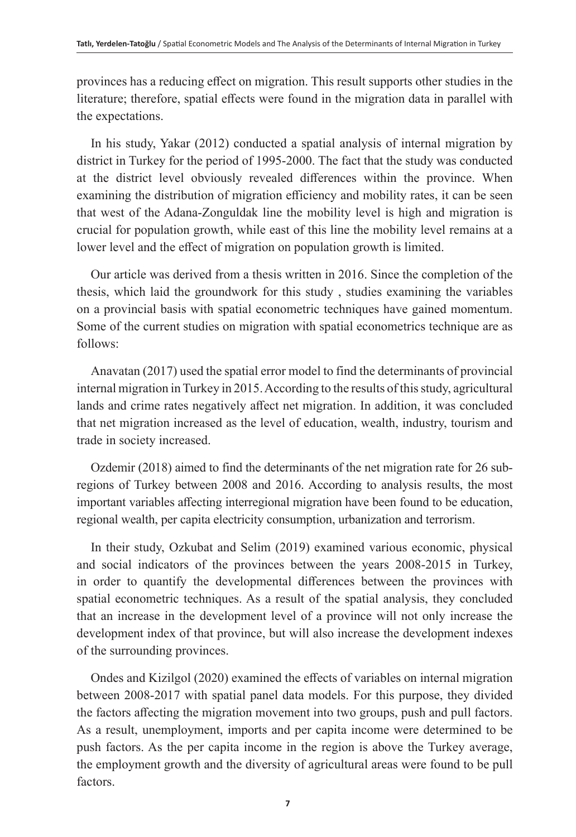provinces has a reducing effect on migration. This result supports other studies in the literature; therefore, spatial effects were found in the migration data in parallel with the expectations.

In his study, Yakar (2012) conducted a spatial analysis of internal migration by district in Turkey for the period of 1995-2000. The fact that the study was conducted at the district level obviously revealed differences within the province. When examining the distribution of migration efficiency and mobility rates, it can be seen that west of the Adana-Zonguldak line the mobility level is high and migration is crucial for population growth, while east of this line the mobility level remains at a lower level and the effect of migration on population growth is limited.

Our article was derived from a thesis written in 2016. Since the completion of the thesis, which laid the groundwork for this study , studies examining the variables on a provincial basis with spatial econometric techniques have gained momentum. Some of the current studies on migration with spatial econometrics technique are as follows:

Anavatan (2017) used the spatial error model to find the determinants of provincial internal migration in Turkey in 2015. According to the results of this study, agricultural lands and crime rates negatively affect net migration. In addition, it was concluded that net migration increased as the level of education, wealth, industry, tourism and trade in society increased.

Ozdemir (2018) aimed to find the determinants of the net migration rate for 26 subregions of Turkey between 2008 and 2016. According to analysis results, the most important variables affecting interregional migration have been found to be education, regional wealth, per capita electricity consumption, urbanization and terrorism.

In their study, Ozkubat and Selim (2019) examined various economic, physical and social indicators of the provinces between the years 2008-2015 in Turkey, in order to quantify the developmental differences between the provinces with spatial econometric techniques. As a result of the spatial analysis, they concluded that an increase in the development level of a province will not only increase the development index of that province, but will also increase the development indexes of the surrounding provinces.

Ondes and Kizilgol (2020) examined the effects of variables on internal migration between 2008-2017 with spatial panel data models. For this purpose, they divided the factors affecting the migration movement into two groups, push and pull factors. As a result, unemployment, imports and per capita income were determined to be push factors. As the per capita income in the region is above the Turkey average, the employment growth and the diversity of agricultural areas were found to be pull factors.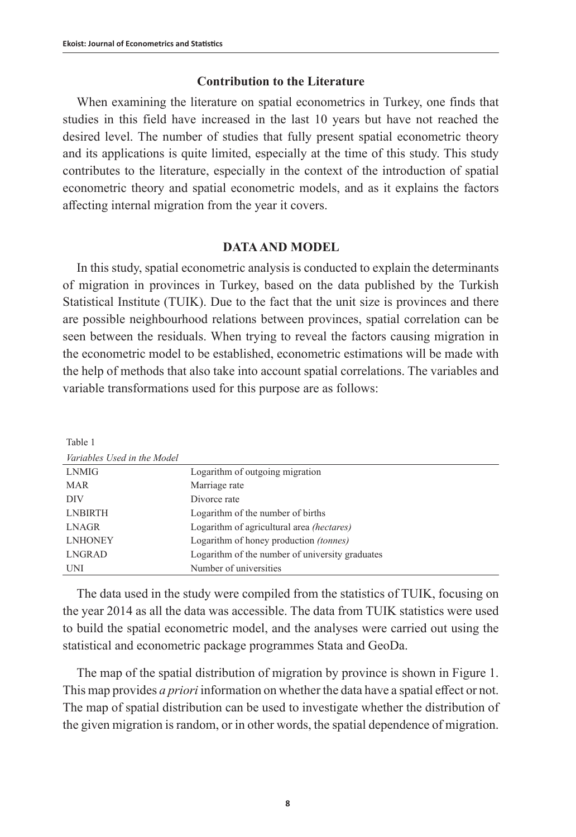## **Contribution to the Literature**

When examining the literature on spatial econometrics in Turkey, one finds that studies in this field have increased in the last 10 years but have not reached the desired level. The number of studies that fully present spatial econometric theory and its applications is quite limited, especially at the time of this study. This study contributes to the literature, especially in the context of the introduction of spatial econometric theory and spatial econometric models, and as it explains the factors affecting internal migration from the year it covers.

## **DATA AND MODEL**

In this study, spatial econometric analysis is conducted to explain the determinants of migration in provinces in Turkey, based on the data published by the Turkish Statistical Institute (TUIK). Due to the fact that the unit size is provinces and there are possible neighbourhood relations between provinces, spatial correlation can be seen between the residuals. When trying to reveal the factors causing migration in the econometric model to be established, econometric estimations will be made with the help of methods that also take into account spatial correlations. The variables and variable transformations used for this purpose are as follows:

| Table 1                     |                                                  |
|-----------------------------|--------------------------------------------------|
| Variables Used in the Model |                                                  |
| <b>LNMIG</b>                | Logarithm of outgoing migration                  |
| <b>MAR</b>                  | Marriage rate                                    |
| <b>DIV</b>                  | Divorce rate                                     |
| <b>LNBIRTH</b>              | Logarithm of the number of births                |
| <b>LNAGR</b>                | Logarithm of agricultural area <i>(hectares)</i> |
| <b>LNHONEY</b>              | Logarithm of honey production (tonnes)           |
| LNGRAD                      | Logarithm of the number of university graduates  |
| UNI                         | Number of universities                           |

The data used in the study were compiled from the statistics of TUIK, focusing on the year 2014 as all the data was accessible. The data from TUIK statistics were used to build the spatial econometric model, and the analyses were carried out using the statistical and econometric package programmes Stata and GeoDa.

The map of the spatial distribution of migration by province is shown in Figure 1. This map provides *a priori* information on whether the data have a spatial effect or not. The map of spatial distribution can be used to investigate whether the distribution of the given migration is random, or in other words, the spatial dependence of migration.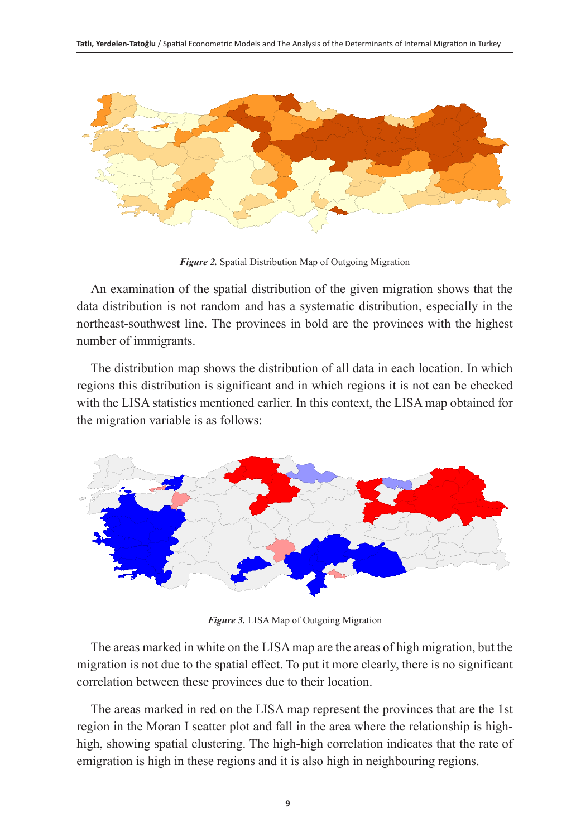

*Figure 2.* Spatial Distribution Map of Outgoing Migration

An examination of the spatial distribution of the given migration shows that the data distribution is not random and has a systematic distribution, especially in the northeast-southwest line. The provinces in bold are the provinces with the highest number of immigrants.

The distribution map shows the distribution of all data in each location. In which regions this distribution is significant and in which regions it is not can be checked with the LISA statistics mentioned earlier. In this context, the LISA map obtained for the migration variable is as follows:



*Figure 3.* LISA Map of Outgoing Migration

The areas marked in white on the LISA map are the areas of high migration, but the migration is not due to the spatial effect. To put it more clearly, there is no significant correlation between these provinces due to their location.

The areas marked in red on the LISA map represent the provinces that are the 1st region in the Moran I scatter plot and fall in the area where the relationship is highhigh, showing spatial clustering. The high-high correlation indicates that the rate of emigration is high in these regions and it is also high in neighbouring regions.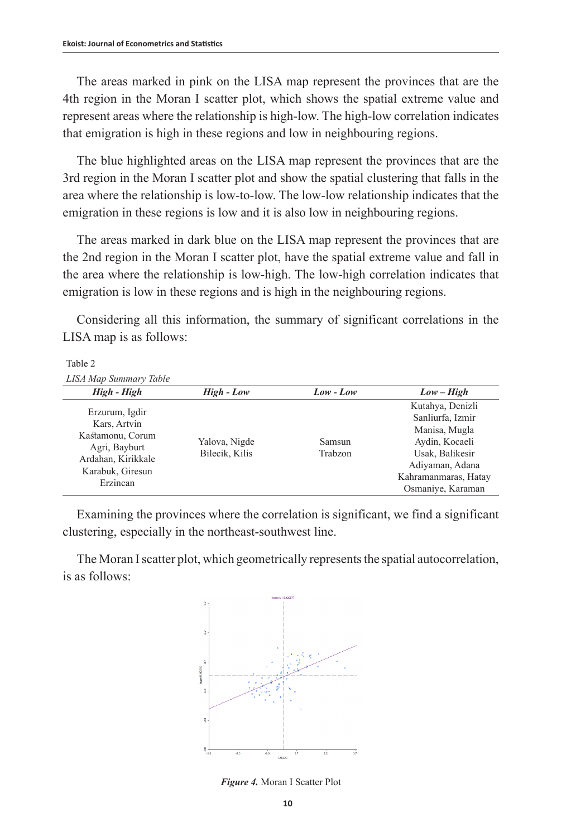The areas marked in pink on the LISA map represent the provinces that are the 4th region in the Moran I scatter plot, which shows the spatial extreme value and represent areas where the relationship is high-low. The high-low correlation indicates that emigration is high in these regions and low in neighbouring regions.

The blue highlighted areas on the LISA map represent the provinces that are the 3rd region in the Moran I scatter plot and show the spatial clustering that falls in the area where the relationship is low-to-low. The low-low relationship indicates that the emigration in these regions is low and it is also low in neighbouring regions.

The areas marked in dark blue on the LISA map represent the provinces that are the 2nd region in the Moran I scatter plot, have the spatial extreme value and fall in the area where the relationship is low-high. The low-high correlation indicates that emigration is low in these regions and is high in the neighbouring regions.

Considering all this information, the summary of significant correlations in the LISA map is as follows:

## Table 2

*LISA Map Summary Table*

| High - High                                                                                                               | High - Low                      | Low - Low         | $Low-High$                                                                                                                                                 |
|---------------------------------------------------------------------------------------------------------------------------|---------------------------------|-------------------|------------------------------------------------------------------------------------------------------------------------------------------------------------|
| Erzurum, Igdir<br>Kars, Artvin<br>Kastamonu, Corum<br>Agri, Bayburt<br>Ardahan, Kirikkale<br>Karabuk, Giresun<br>Erzincan | Yalova, Nigde<br>Bilecik, Kilis | Samsun<br>Trabzon | Kutahya, Denizli<br>Sanliurfa, Izmir<br>Manisa, Mugla<br>Aydin, Kocaeli<br>Usak, Balikesir<br>Adiyaman, Adana<br>Kahramanmaras, Hatay<br>Osmaniye, Karaman |

Examining the provinces where the correlation is significant, we find a significant clustering, especially in the northeast-southwest line.

The Moran I scatter plot, which geometrically represents the spatial autocorrelation, is as follows:



*Figure 4.* Moran I Scatter Plot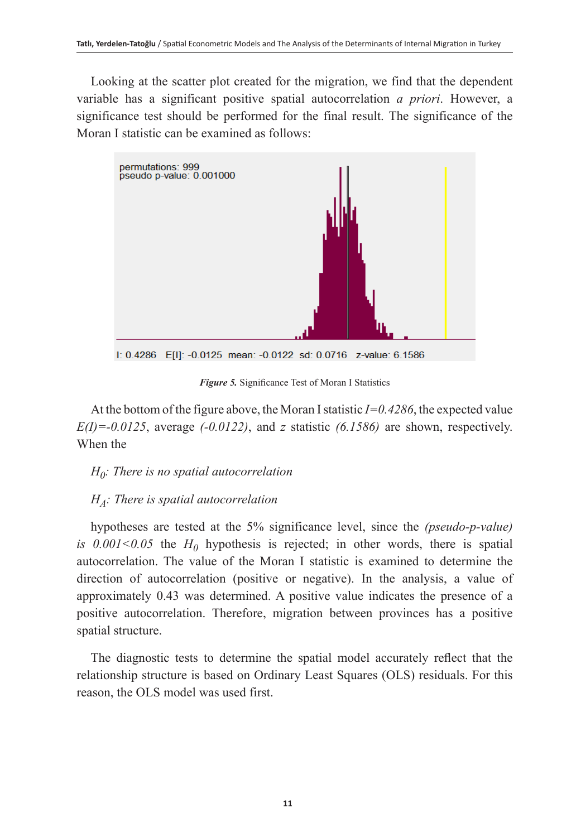Looking at the scatter plot created for the migration, we find that the dependent variable has a significant positive spatial autocorrelation *a priori*. However, a significance test should be performed for the final result. The significance of the Moran I statistic can be examined as follows:



*Figure 5.* Significance Test of Moran I Statistics

At the bottom of the figure above, the Moran I statistic *I=0.4286*, the expected value *E(I)=-0.0125*, average *(-0.0122)*, and *z* statistic *(6.1586)* are shown, respectively. When the

## *H0: There is no spatial autocorrelation*

## *HA: There is spatial autocorrelation*

hypotheses are tested at the 5% significance level, since the *(pseudo-p-value) is*  $0.001 \le 0.05$  the  $H_0$  hypothesis is rejected; in other words, there is spatial autocorrelation. The value of the Moran I statistic is examined to determine the direction of autocorrelation (positive or negative). In the analysis, a value of approximately 0.43 was determined. A positive value indicates the presence of a positive autocorrelation. Therefore, migration between provinces has a positive spatial structure.

The diagnostic tests to determine the spatial model accurately reflect that the relationship structure is based on Ordinary Least Squares (OLS) residuals. For this reason, the OLS model was used first.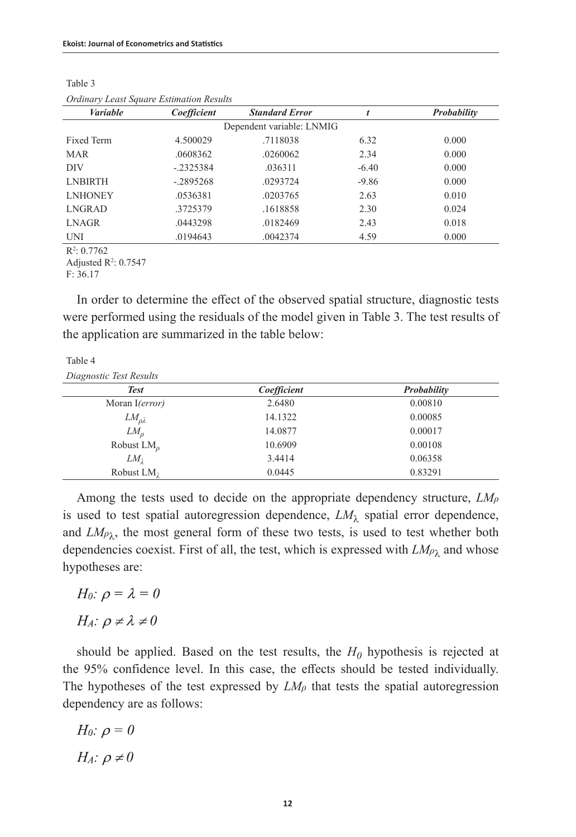| <b>Variable</b> | Coefficient | <b>Standard Error</b>     | t       | Probability |
|-----------------|-------------|---------------------------|---------|-------------|
|                 |             | Dependent variable: LNMIG |         |             |
| Fixed Term      | 4.500029    | .7118038                  | 6.32    | 0.000       |
| <b>MAR</b>      | .0608362    | .0260062                  | 2.34    | 0.000       |
| <b>DIV</b>      | $-.2325384$ | .036311                   | $-6.40$ | 0.000       |
| <b>LNBIRTH</b>  | $-.2895268$ | .0293724                  | $-9.86$ | 0.000       |
| <b>LNHONEY</b>  | .0536381    | .0203765                  | 2.63    | 0.010       |
| LNGRAD          | .3725379    | .1618858                  | 2.30    | 0.024       |
| LNAGR           | .0443298    | .0182469                  | 2.43    | 0.018       |
| UNI             | .0194643    | .0042374                  | 4.59    | 0.000       |
|                 |             |                           |         |             |

Table 3 *Ordinary Least Square Estimation Results*

 $R^2: 0.7762$ 

Adjusted  $R^2$ : 0.7547

F: 36.17

In order to determine the effect of the observed spatial structure, diagnostic tests were performed using the residuals of the model given in Table 3. The test results of the application are summarized in the table below:

Table 4

| <b>Test</b>        | Coefficient | Probability |
|--------------------|-------------|-------------|
| Moran I(error)     | 2.6480      | 0.00810     |
| $LM_{\rho\lambda}$ | 14.1322     | 0.00085     |
| $LM_{\alpha}$      | 14.0877     | 0.00017     |
| Robust $LMo$       | 10.6909     | 0.00108     |
| $LM_1$             | 3.4414      | 0.06358     |
| Robust $LM_1$      | 0.0445      | 0.83291     |

Among the tests used to decide on the appropriate dependency structure, *LMρ* is used to test spatial autoregression dependence,  $LM<sub>\lambda</sub>$  spatial error dependence, and  $LM\rho_{\lambda}$ , the most general form of these two tests, is used to test whether both dependencies coexist. First of all, the test, which is expressed with  $LM_{\rho\lambda}$  and whose hypotheses are:

H<sub>0</sub>:  $\rho = \lambda = 0$  $H_A$ :  $\rho \neq \lambda \neq 0$ 

should be applied. Based on the test results, the  $H_0$  hypothesis is rejected at the 95% confidence level. In this case, the effects should be tested individually. The hypotheses of the test expressed by  $LM<sub>\rho</sub>$  that tests the spatial autoregression dependency are as follows:

$$
H_0: \rho = 0
$$

$$
H_A: \rho \neq 0
$$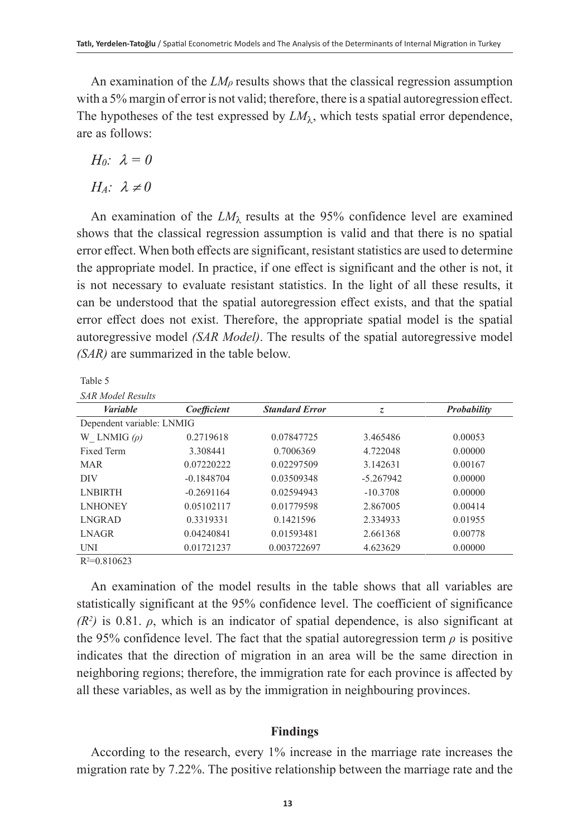An examination of the  $LM\rho$  results shows that the classical regression assumption with a 5% margin of error is not valid; therefore, there is a spatial autoregression effect. The hypotheses of the test expressed by  $LM_{\lambda}$ , which tests spatial error dependence, are as follows:

$$
H_0: \ \lambda=0
$$

 $H_A$ :  $\lambda \neq 0$ 

An examination of the  $LM_{\lambda}$  results at the 95% confidence level are examined shows that the classical regression assumption is valid and that there is no spatial error effect. When both effects are significant, resistant statistics are used to determine the appropriate model. In practice, if one effect is significant and the other is not, it is not necessary to evaluate resistant statistics. In the light of all these results, it can be understood that the spatial autoregression effect exists, and that the spatial error effect does not exist. Therefore, the appropriate spatial model is the spatial autoregressive model *(SAR Model)*. The results of the spatial autoregressive model *(SAR)* are summarized in the table below.

Table 5

|  |  | <b>SAR Model Results</b> |
|--|--|--------------------------|
|--|--|--------------------------|

| <b>Variable</b>           | Coefficient  | <b>Standard Error</b> | z           | Probability |
|---------------------------|--------------|-----------------------|-------------|-------------|
| Dependent variable: LNMIG |              |                       |             |             |
| W LNMIG $(\rho)$          | 0.2719618    | 0.07847725            | 3.465486    | 0.00053     |
| Fixed Term                | 3.308441     | 0.7006369             | 4.722048    | 0.00000     |
| <b>MAR</b>                | 0.07220222   | 0.02297509            | 3.142631    | 0.00167     |
| DIV                       | $-0.1848704$ | 0.03509348            | $-5.267942$ | 0.00000     |
| <b>LNBIRTH</b>            | $-0.2691164$ | 0.02594943            | $-10.3708$  | 0.00000     |
| <b>LNHONEY</b>            | 0.05102117   | 0.01779598            | 2.867005    | 0.00414     |
| <b>LNGRAD</b>             | 0.3319331    | 0.1421596             | 2.334933    | 0.01955     |
| <b>LNAGR</b>              | 0.04240841   | 0.01593481            | 2.661368    | 0.00778     |
| UNI                       | 0.01721237   | 0.003722697           | 4.623629    | 0.00000     |
| $D2 - 0.910622$           |              |                       |             |             |

 $R^2 = 0.810623$ 

An examination of the model results in the table shows that all variables are statistically significant at the 95% confidence level. The coefficient of significance  $(R<sup>2</sup>)$  is 0.81.  $\rho$ , which is an indicator of spatial dependence, is also significant at the 95% confidence level. The fact that the spatial autoregression term  $\rho$  is positive indicates that the direction of migration in an area will be the same direction in neighboring regions; therefore, the immigration rate for each province is affected by all these variables, as well as by the immigration in neighbouring provinces.

## **Findings**

According to the research, every 1% increase in the marriage rate increases the migration rate by 7.22%. The positive relationship between the marriage rate and the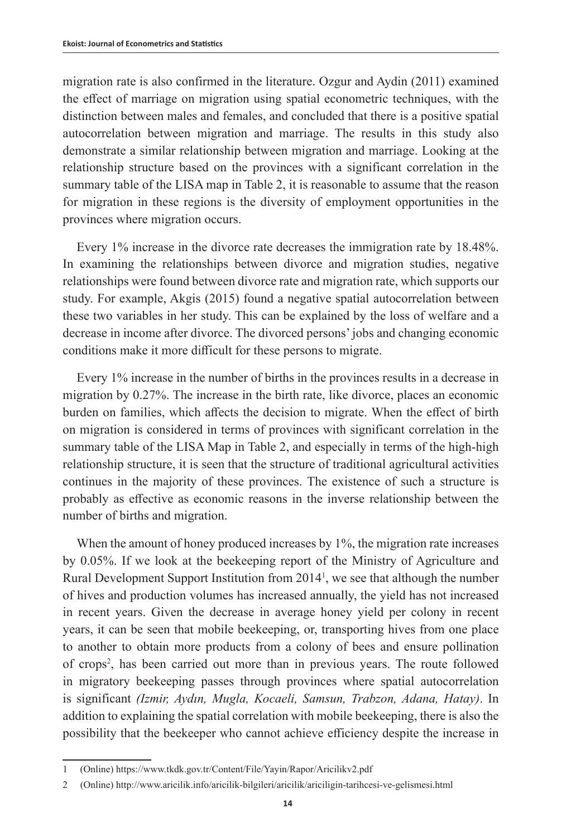migration rate is also confirmed in the literature. Ozgur and Aydin (2011) examined the effect of marriage on migration using spatial econometric techniques, with the distinction between males and females, and concluded that there is a positive spatial autocorrelation between migration and marriage. The results in this study also demonstrate a similar relationship between migration and marriage. Looking at the relationship structure based on the provinces with a significant correlation in the summary table of the LISA map in Table 2, it is reasonable to assume that the reason for migration in these regions is the diversity of employment opportunities in the provinces where migration occurs.

Every 1% increase in the divorce rate decreases the immigration rate by 18.48%. In examining the relationships between divorce and migration studies, negative relationships were found between divorce rate and migration rate, which supports our study. For example, Akgis (2015) found a negative spatial autocorrelation between these two variables in her study. This can be explained by the loss of welfare and a decrease in income after divorce. The divorced persons' jobs and changing economic conditions make it more difficult for these persons to migrate.

Every 1% increase in the number of births in the provinces results in a decrease in migration by 0.27%. The increase in the birth rate, like divorce, places an economic burden on families, which affects the decision to migrate. When the effect of birth on migration is considered in terms of provinces with significant correlation in the summary table of the LISA Map in Table 2, and especially in terms of the high-high relationship structure, it is seen that the structure of traditional agricultural activities continues in the majority of these provinces. The existence of such a structure is probably as effective as economic reasons in the inverse relationship between the number of births and migration.

When the amount of honey produced increases by 1%, the migration rate increases by 0.05%. If we look at the beekeeping report of the Ministry of Agriculture and Rural Development Support Institution from 20141 , we see that although the number of hives and production volumes has increased annually, the yield has not increased in recent years. Given the decrease in average honey yield per colony in recent years, it can be seen that mobile beekeeping, or, transporting hives from one place to another to obtain more products from a colony of bees and ensure pollination of crops<sup>2</sup>, has been carried out more than in previous years. The route followed in migratory beekeeping passes through provinces where spatial autocorrelation is significant *(Izmir, Aydın, Mugla, Kocaeli, Samsun, Trabzon, Adana, Hatay)*. In addition to explaining the spatial correlation with mobile beekeeping, there is also the possibility that the beekeeper who cannot achieve efficiency despite the increase in

<sup>1</sup> (Online)<https://www.tkdk.gov.tr/Content/File/Yayin/Rapor/Aricilikv2.pdf>

<sup>2</sup> (Online)<http://www.aricilik.info/aricilik-bilgileri/aricilik/ariciligin-tarihcesi-ve-gelismesi.html>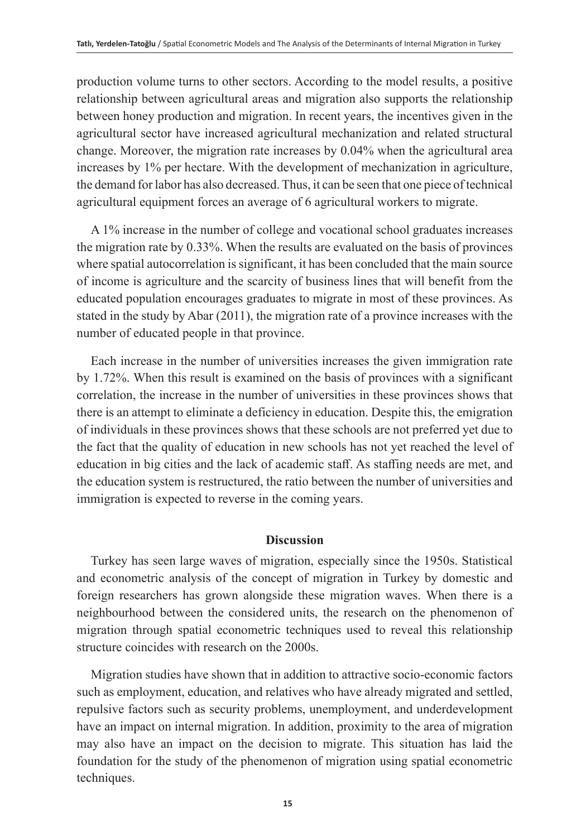production volume turns to other sectors. According to the model results, a positive relationship between agricultural areas and migration also supports the relationship between honey production and migration. In recent years, the incentives given in the agricultural sector have increased agricultural mechanization and related structural change. Moreover, the migration rate increases by 0.04% when the agricultural area increases by 1% per hectare. With the development of mechanization in agriculture, the demand for labor has also decreased. Thus, it can be seen that one piece of technical agricultural equipment forces an average of 6 agricultural workers to migrate.

A 1% increase in the number of college and vocational school graduates increases the migration rate by 0.33%. When the results are evaluated on the basis of provinces where spatial autocorrelation is significant, it has been concluded that the main source of income is agriculture and the scarcity of business lines that will benefit from the educated population encourages graduates to migrate in most of these provinces. As stated in the study by Abar (2011), the migration rate of a province increases with the number of educated people in that province.

Each increase in the number of universities increases the given immigration rate by 1.72%. When this result is examined on the basis of provinces with a significant correlation, the increase in the number of universities in these provinces shows that there is an attempt to eliminate a deficiency in education. Despite this, the emigration of individuals in these provinces shows that these schools are not preferred yet due to the fact that the quality of education in new schools has not yet reached the level of education in big cities and the lack of academic staff. As staffing needs are met, and the education system is restructured, the ratio between the number of universities and immigration is expected to reverse in the coming years.

## **Discussion**

Turkey has seen large waves of migration, especially since the 1950s. Statistical and econometric analysis of the concept of migration in Turkey by domestic and foreign researchers has grown alongside these migration waves. When there is a neighbourhood between the considered units, the research on the phenomenon of migration through spatial econometric techniques used to reveal this relationship structure coincides with research on the 2000s.

Migration studies have shown that in addition to attractive socio-economic factors such as employment, education, and relatives who have already migrated and settled, repulsive factors such as security problems, unemployment, and underdevelopment have an impact on internal migration. In addition, proximity to the area of migration may also have an impact on the decision to migrate. This situation has laid the foundation for the study of the phenomenon of migration using spatial econometric techniques.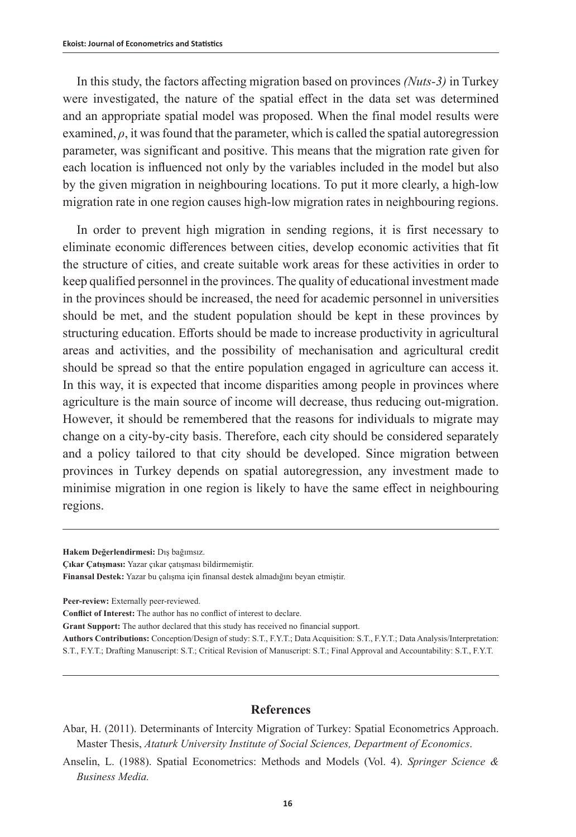In this study, the factors affecting migration based on provinces *(Nuts-3)* in Turkey were investigated, the nature of the spatial effect in the data set was determined and an appropriate spatial model was proposed. When the final model results were examined,  $\rho$ , it was found that the parameter, which is called the spatial autoregression parameter, was significant and positive. This means that the migration rate given for each location is influenced not only by the variables included in the model but also by the given migration in neighbouring locations. To put it more clearly, a high-low migration rate in one region causes high-low migration rates in neighbouring regions.

In order to prevent high migration in sending regions, it is first necessary to eliminate economic differences between cities, develop economic activities that fit the structure of cities, and create suitable work areas for these activities in order to keep qualified personnel in the provinces. The quality of educational investment made in the provinces should be increased, the need for academic personnel in universities should be met, and the student population should be kept in these provinces by structuring education. Efforts should be made to increase productivity in agricultural areas and activities, and the possibility of mechanisation and agricultural credit should be spread so that the entire population engaged in agriculture can access it. In this way, it is expected that income disparities among people in provinces where agriculture is the main source of income will decrease, thus reducing out-migration. However, it should be remembered that the reasons for individuals to migrate may change on a city-by-city basis. Therefore, each city should be considered separately and a policy tailored to that city should be developed. Since migration between provinces in Turkey depends on spatial autoregression, any investment made to minimise migration in one region is likely to have the same effect in neighbouring regions.

### **References**

**Hakem Değerlendirmesi:** Dış bağımsız.

**Çıkar Çatışması:** Yazar çıkar çatışması bildirmemiştir.

**Finansal Destek:** Yazar bu çalışma için finansal destek almadığını beyan etmiştir.

**Peer-review:** Externally peer-reviewed.

**Conflict of Interest:** The author has no conflict of interest to declare.

**Grant Support:** The author declared that this study has received no financial support.

**Authors Contributions:** Conception/Design of study: S.T., F.Y.T.; Data Acquisition: S.T., F.Y.T.; Data Analysis/Interpretation: S.T., F.Y.T.; Drafting Manuscript: S.T.; Critical Revision of Manuscript: S.T.; Final Approval and Accountability: S.T., F.Y.T.

Abar, H. (2011). Determinants of Intercity Migration of Turkey: Spatial Econometrics Approach. Master Thesis, *Ataturk University Institute of Social Sciences, Department of Economics*.

Anselin, L. (1988). Spatial Econometrics: Methods and Models (Vol. 4). *Springer Science & Business Media.*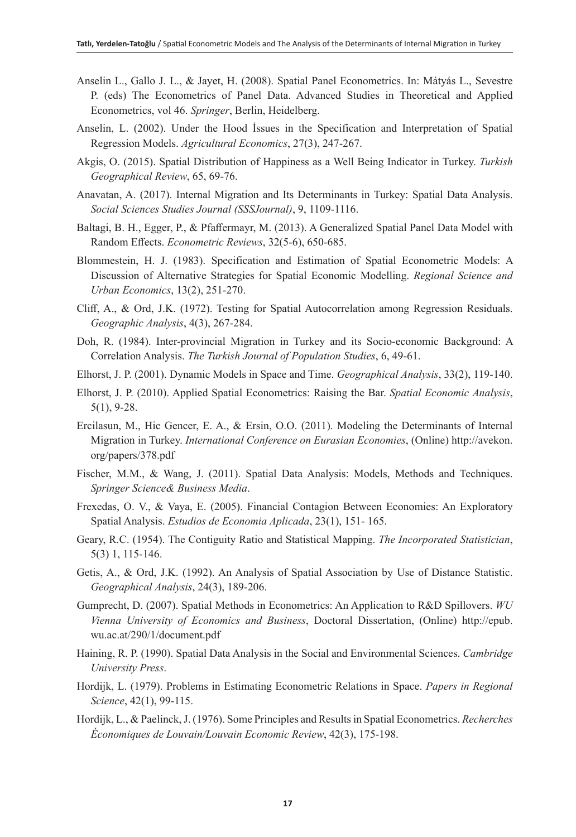- Anselin L., Gallo J. L., & Jayet, H. (2008). Spatial Panel Econometrics. In: Mátyás L., Sevestre P. (eds) The Econometrics of Panel Data. Advanced Studies in Theoretical and Applied Econometrics, vol 46. *Springer*, Berlin, Heidelberg.
- Anselin, L. (2002). Under the Hood İssues in the Specification and Interpretation of Spatial Regression Models. *Agricultural Economics*, 27(3), 247-267.
- Akgis, O. (2015). Spatial Distribution of Happiness as a Well Being Indicator in Turkey. *Turkish Geographical Review*, 65, 69-76.
- Anavatan, A. (2017). Internal Migration and Its Determinants in Turkey: Spatial Data Analysis. *Social Sciences Studies Journal (SSSJournal)*, 9, 1109-1116.
- Baltagi, B. H., Egger, P., & Pfaffermayr, M. (2013). A Generalized Spatial Panel Data Model with Random Effects. *Econometric Reviews*, 32(5-6), 650-685.
- Blommestein, H. J. (1983). Specification and Estimation of Spatial Econometric Models: A Discussion of Alternative Strategies for Spatial Economic Modelling. *Regional Science and Urban Economics*, 13(2), 251-270.
- Cliff, A., & Ord, J.K. (1972). Testing for Spatial Autocorrelation among Regression Residuals. *Geographic Analysis*, 4(3), 267-284.
- Doh, R. (1984). Inter-provincial Migration in Turkey and its Socio-economic Background: A Correlation Analysis. *The Turkish Journal of Population Studies*, 6, 49-61.
- Elhorst, J. P. (2001). Dynamic Models in Space and Time. *Geographical Analysis*, 33(2), 119-140.
- Elhorst, J. P. (2010). Applied Spatial Econometrics: Raising the Bar. *Spatial Economic Analysis*, 5(1), 9-28.
- Ercilasun, M., Hic Gencer, E. A., & Ersin, O.O. (2011). Modeling the Determinants of Internal Migration in Turkey. *International Conference on Eurasian Economies*, (Online) http://avekon. org/papers/378.pdf
- Fischer, M.M., & Wang, J. (2011). Spatial Data Analysis: Models, Methods and Techniques. *Springer Science& Business Media*.
- Frexedas, O. V., & Vaya, E. (2005). Financial Contagion Between Economies: An Exploratory Spatial Analysis. *Estudios de Economia Aplicada*, 23(1), 151- 165.
- Geary, R.C. (1954). The Contiguity Ratio and Statistical Mapping. *The Incorporated Statistician*, 5(3) 1, 115-146.
- Getis, A., & Ord, J.K. (1992). An Analysis of Spatial Association by Use of Distance Statistic. *Geographical Analysis*, 24(3), 189-206.
- Gumprecht, D. (2007). Spatial Methods in Econometrics: An Application to R&D Spillovers. *WU Vienna University of Economics and Business*, Doctoral Dissertation, (Online) http://epub. wu.ac.at/290/1/document.pdf
- Haining, R. P. (1990). Spatial Data Analysis in the Social and Environmental Sciences. *Cambridge University Press*.
- Hordijk, L. (1979). Problems in Estimating Econometric Relations in Space. *Papers in Regional Science*, 42(1), 99-115.
- Hordijk, L., & Paelinck, J. (1976). Some Principles and Results in Spatial Econometrics. *Recherches Économiques de Louvain/Louvain Economic Review*, 42(3), 175-198.